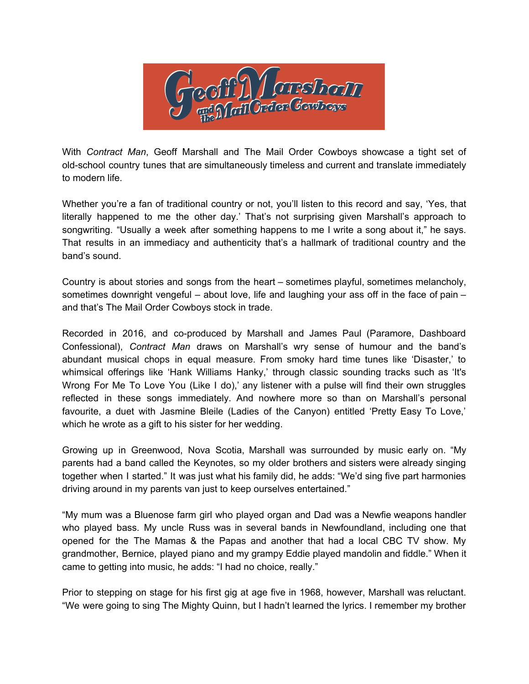

With *Contract Man*, Geoff Marshall and The Mail Order Cowboys showcase a tight set of old-school country tunes that are simultaneously timeless and current and translate immediately to modern life.

Whether you're a fan of traditional country or not, you'll listen to this record and say, 'Yes, that literally happened to me the other day.' That's not surprising given Marshall's approach to songwriting. "Usually a week after something happens to me I write a song about it," he says. That results in an immediacy and authenticity that's a hallmark of traditional country and the band's sound.

Country is about stories and songs from the heart – sometimes playful, sometimes melancholy, sometimes downright vengeful – about love, life and laughing your ass off in the face of pain – and that's The Mail Order Cowboys stock in trade.

Recorded in 2016, and co-produced by Marshall and James Paul (Paramore, Dashboard Confessional), *Contract Man* draws on Marshall's wry sense of humour and the band's abundant musical chops in equal measure. From smoky hard time tunes like 'Disaster,' to whimsical offerings like 'Hank Williams Hanky,' through classic sounding tracks such as 'It's Wrong For Me To Love You (Like I do),' any listener with a pulse will find their own struggles reflected in these songs immediately. And nowhere more so than on Marshall's personal favourite, a duet with Jasmine Bleile (Ladies of the Canyon) entitled 'Pretty Easy To Love,' which he wrote as a gift to his sister for her wedding.

Growing up in Greenwood, Nova Scotia, Marshall was surrounded by music early on. "My parents had a band called the Keynotes, so my older brothers and sisters were already singing together when I started." It was just what his family did, he adds: "We'd sing five part harmonies driving around in my parents van just to keep ourselves entertained."

"My mum was a Bluenose farm girl who played organ and Dad was a Newfie weapons handler who played bass. My uncle Russ was in several bands in Newfoundland, including one that opened for the The Mamas & the Papas and another that had a local CBC TV show. My grandmother, Bernice, played piano and my grampy Eddie played mandolin and fiddle." When it came to getting into music, he adds: "I had no choice, really."

Prior to stepping on stage for his first gig at age five in 1968, however, Marshall was reluctant. "We were going to sing The Mighty Quinn, but I hadn't learned the lyrics. I remember my brother